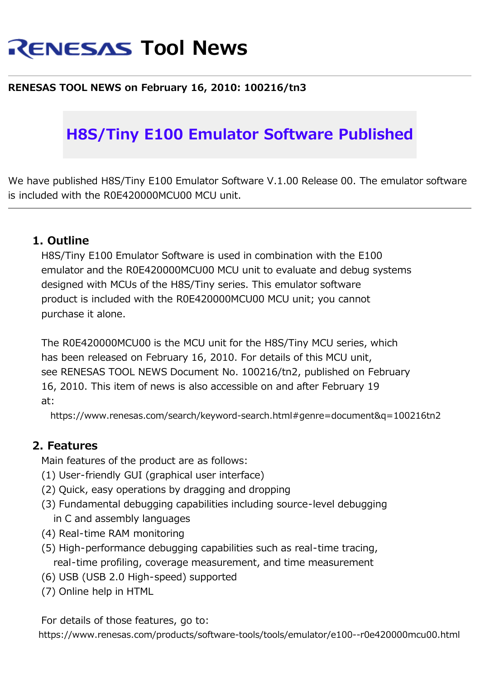# **RENESAS Tool News**

#### **RENESAS TOOL NEWS on February 16, 2010: 100216/tn3**

## **H8S/Tiny E100 Emulator Software Published**

We have published H8S/Tiny E100 Emulator Software V.1.00 Release 00. The emulator software is included with the R0E420000MCU00 MCU unit.

#### **1. Outline**

H8S/Tiny E100 Emulator Software is used in combination with the E100 emulator and the R0E420000MCU00 MCU unit to evaluate and debug systems designed with MCUs of the H8S/Tiny series. This emulator software product is included with the R0E420000MCU00 MCU unit; you cannot purchase it alone.

The R0E420000MCU00 is the MCU unit for the H8S/Tiny MCU series, which has been released on February 16, 2010. For details of this MCU unit, see RENESAS TOOL NEWS Document No. 100216/tn2, published on February 16, 2010. This item of news is also accessible on and after February 19 at:

https://www.renesas.com/search/keyword-search.html#genre=document&q=100216tn2

#### **2. Features**

Main features of the product are as follows:

- (1) User-friendly GUI (graphical user interface)
- (2) Quick, easy operations by dragging and dropping
- (3) Fundamental debugging capabilities including source-level debugging in C and assembly languages
- (4) Real-time RAM monitoring
- (5) High-performance debugging capabilities such as real-time tracing, real-time profiling, coverage measurement, and time measurement
- (6) USB (USB 2.0 High-speed) supported
- (7) Online help in HTML

For details of those features, go to:

https://www.renesas.com/products/software-tools/tools/emulator/e100--r0e420000mcu00.html